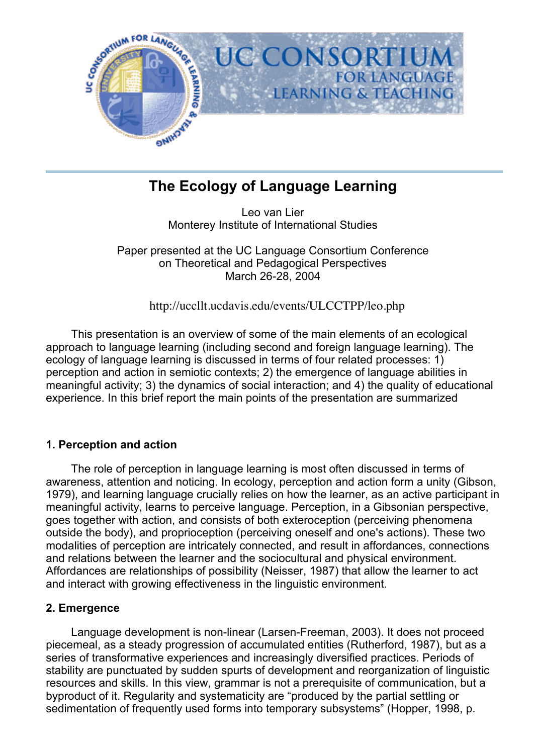

# **The Ecology of Language Learning**

Leo van Lier Monterey Institute of International Studies

Paper presented at the UC Language Consortium Conference on Theoretical and Pedagogical Perspectives March 26-28, 2004

http://uccllt.ucdavis.edu/events/ULCCTPP/leo.php

 This presentation is an overview of some of the main elements of an ecological approach to language learning (including second and foreign language learning). The ecology of language learning is discussed in terms of four related processes: 1) perception and action in semiotic contexts; 2) the emergence of language abilities in meaningful activity; 3) the dynamics of social interaction; and 4) the quality of educational experience. In this brief report the main points of the presentation are summarized

# **1. Perception and action**

 The role of perception in language learning is most often discussed in terms of awareness, attention and noticing. In ecology, perception and action form a unity (Gibson, 1979), and learning language crucially relies on how the learner, as an active participant in meaningful activity, learns to perceive language. Perception, in a Gibsonian perspective, goes together with action, and consists of both exteroception (perceiving phenomena outside the body), and proprioception (perceiving oneself and one's actions). These two modalities of perception are intricately connected, and result in affordances, connections and relations between the learner and the sociocultural and physical environment. Affordances are relationships of possibility (Neisser, 1987) that allow the learner to act and interact with growing effectiveness in the linguistic environment.

## **2. Emergence**

 Language development is non-linear (Larsen-Freeman, 2003). It does not proceed piecemeal, as a steady progression of accumulated entities (Rutherford, 1987), but as a series of transformative experiences and increasingly diversified practices. Periods of stability are punctuated by sudden spurts of development and reorganization of linguistic resources and skills. In this view, grammar is not a prerequisite of communication, but a byproduct of it. Regularity and systematicity are "produced by the partial settling or sedimentation of frequently used forms into temporary subsystems" (Hopper, 1998, p.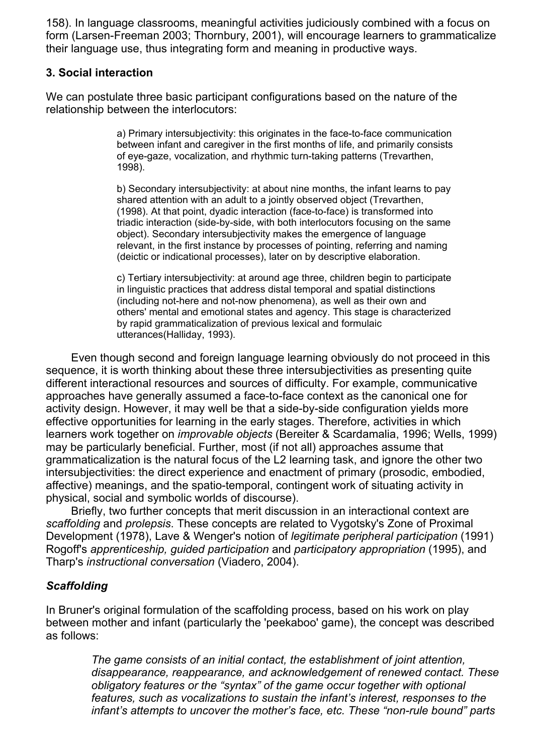158). In language classrooms, meaningful activities judiciously combined with a focus on form (Larsen-Freeman 2003; Thornbury, 2001), will encourage learners to grammaticalize their language use, thus integrating form and meaning in productive ways.

## **3. Social interaction**

We can postulate three basic participant configurations based on the nature of the relationship between the interlocutors:

> a) Primary intersubjectivity: this originates in the face-to-face communication between infant and caregiver in the first months of life, and primarily consists of eye-gaze, vocalization, and rhythmic turn-taking patterns (Trevarthen, 1998).

> b) Secondary intersubjectivity: at about nine months, the infant learns to pay shared attention with an adult to a jointly observed object (Trevarthen, (1998). At that point, dyadic interaction (face-to-face) is transformed into triadic interaction (side-by-side, with both interlocutors focusing on the same object). Secondary intersubjectivity makes the emergence of language relevant, in the first instance by processes of pointing, referring and naming (deictic or indicational processes), later on by descriptive elaboration.

> c) Tertiary intersubjectivity: at around age three, children begin to participate in linguistic practices that address distal temporal and spatial distinctions (including not-here and not-now phenomena), as well as their own and others' mental and emotional states and agency. This stage is characterized by rapid grammaticalization of previous lexical and formulaic utterances(Halliday, 1993).

 Even though second and foreign language learning obviously do not proceed in this sequence, it is worth thinking about these three intersubjectivities as presenting quite different interactional resources and sources of difficulty. For example, communicative approaches have generally assumed a face-to-face context as the canonical one for activity design. However, it may well be that a side-by-side configuration yields more effective opportunities for learning in the early stages. Therefore, activities in which learners work together on *improvable objects* (Bereiter & Scardamalia, 1996; Wells, 1999) may be particularly beneficial. Further, most (if not all) approaches assume that grammaticalization is the natural focus of the L2 learning task, and ignore the other two intersubjectivities: the direct experience and enactment of primary (prosodic, embodied, affective) meanings, and the spatio-temporal, contingent work of situating activity in physical, social and symbolic worlds of discourse).

 Briefly, two further concepts that merit discussion in an interactional context are *scaffolding* and *prolepsis*. These concepts are related to Vygotsky's Zone of Proximal Development (1978), Lave & Wenger's notion of *legitimate peripheral participation* (1991) Rogoff's *apprenticeship, guided participation* and *participatory appropriation* (1995), and Tharp's *instructional conversation* (Viadero, 2004).

# *Scaffolding*

In Bruner's original formulation of the scaffolding process, based on his work on play between mother and infant (particularly the 'peekaboo' game), the concept was described as follows:

> *The game consists of an initial contact, the establishment of joint attention, disappearance, reappearance, and acknowledgement of renewed contact. These obligatory features or the "syntax" of the game occur together with optional features, such as vocalizations to sustain the infant's interest, responses to the infant's attempts to uncover the mother's face, etc. These "non-rule bound" parts*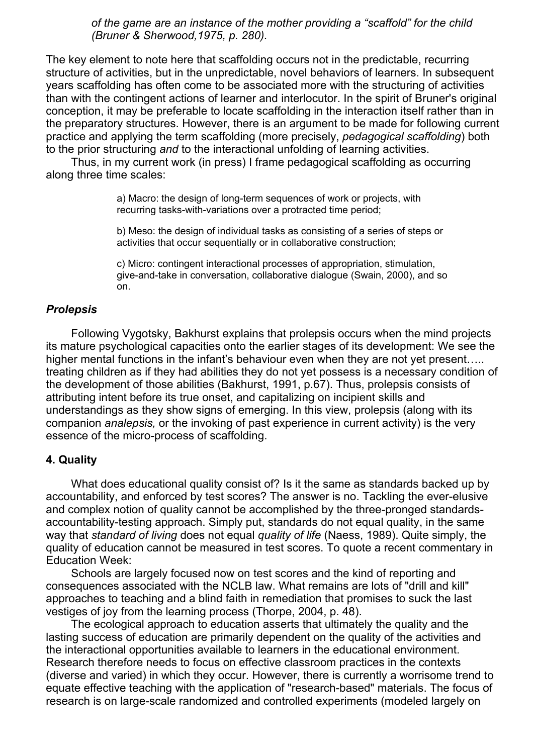*of the game are an instance of the mother providing a "scaffold" for the child (Bruner & Sherwood,1975, p. 280).*

The key element to note here that scaffolding occurs not in the predictable, recurring structure of activities, but in the unpredictable, novel behaviors of learners. In subsequent years scaffolding has often come to be associated more with the structuring of activities than with the contingent actions of learner and interlocutor. In the spirit of Bruner's original conception, it may be preferable to locate scaffolding in the interaction itself rather than in the preparatory structures. However, there is an argument to be made for following current practice and applying the term scaffolding (more precisely, *pedagogical scaffolding*) both to the prior structuring *and* to the interactional unfolding of learning activities.

 Thus, in my current work (in press) I frame pedagogical scaffolding as occurring along three time scales:

> a) Macro: the design of long-term sequences of work or projects, with recurring tasks-with-variations over a protracted time period;

b) Meso: the design of individual tasks as consisting of a series of steps or activities that occur sequentially or in collaborative construction;

c) Micro: contingent interactional processes of appropriation, stimulation, give-and-take in conversation, collaborative dialogue (Swain, 2000), and so on.

#### *Prolepsis*

 Following Vygotsky, Bakhurst explains that prolepsis occurs when the mind projects its mature psychological capacities onto the earlier stages of its development: We see the higher mental functions in the infant's behaviour even when they are not yet present..... treating children as if they had abilities they do not yet possess is a necessary condition of the development of those abilities (Bakhurst, 1991, p.67). Thus, prolepsis consists of attributing intent before its true onset, and capitalizing on incipient skills and understandings as they show signs of emerging. In this view, prolepsis (along with its companion *analepsis,* or the invoking of past experience in current activity) is the very essence of the micro-process of scaffolding.

#### **4. Quality**

 What does educational quality consist of? Is it the same as standards backed up by accountability, and enforced by test scores? The answer is no. Tackling the ever-elusive and complex notion of quality cannot be accomplished by the three-pronged standardsaccountability-testing approach. Simply put, standards do not equal quality, in the same way that *standard of living* does not equal *quality of life* (Naess, 1989). Quite simply, the quality of education cannot be measured in test scores. To quote a recent commentary in Education Week:

 Schools are largely focused now on test scores and the kind of reporting and consequences associated with the NCLB law. What remains are lots of "drill and kill" approaches to teaching and a blind faith in remediation that promises to suck the last vestiges of joy from the learning process (Thorpe, 2004, p. 48).

 The ecological approach to education asserts that ultimately the quality and the lasting success of education are primarily dependent on the quality of the activities and the interactional opportunities available to learners in the educational environment. Research therefore needs to focus on effective classroom practices in the contexts (diverse and varied) in which they occur. However, there is currently a worrisome trend to equate effective teaching with the application of "research-based" materials. The focus of research is on large-scale randomized and controlled experiments (modeled largely on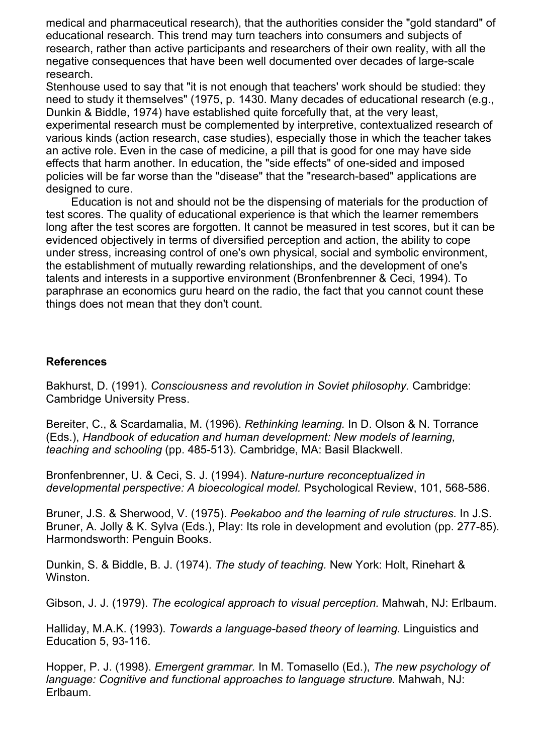medical and pharmaceutical research), that the authorities consider the "gold standard" of educational research. This trend may turn teachers into consumers and subjects of research, rather than active participants and researchers of their own reality, with all the negative consequences that have been well documented over decades of large-scale research.

Stenhouse used to say that "it is not enough that teachers' work should be studied: they need to study it themselves" (1975, p. 1430. Many decades of educational research (e.g., Dunkin & Biddle, 1974) have established quite forcefully that, at the very least,

experimental research must be complemented by interpretive, contextualized research of various kinds (action research, case studies), especially those in which the teacher takes an active role. Even in the case of medicine, a pill that is good for one may have side effects that harm another. In education, the "side effects" of one-sided and imposed policies will be far worse than the "disease" that the "research-based" applications are designed to cure.

 Education is not and should not be the dispensing of materials for the production of test scores. The quality of educational experience is that which the learner remembers long after the test scores are forgotten. It cannot be measured in test scores, but it can be evidenced objectively in terms of diversified perception and action, the ability to cope under stress, increasing control of one's own physical, social and symbolic environment, the establishment of mutually rewarding relationships, and the development of one's talents and interests in a supportive environment (Bronfenbrenner & Ceci, 1994). To paraphrase an economics guru heard on the radio, the fact that you cannot count these things does not mean that they don't count.

## **References**

Bakhurst, D. (1991). *Consciousness and revolution in Soviet philosophy.* Cambridge: Cambridge University Press.

Bereiter, C., & Scardamalia, M. (1996). *Rethinking learning.* In D. Olson & N. Torrance (Eds.), *Handbook of education and human development: New models of learning, teaching and schooling* (pp. 485-513). Cambridge, MA: Basil Blackwell.

Bronfenbrenner, U. & Ceci, S. J. (1994). *Nature-nurture reconceptualized in developmental perspective: A bioecological model.* Psychological Review, 101, 568-586.

Bruner, J.S. & Sherwood, V. (1975). *Peekaboo and the learning of rule structures.* In J.S. Bruner, A. Jolly & K. Sylva (Eds.), Play: Its role in development and evolution (pp. 277-85). Harmondsworth: Penguin Books.

Dunkin, S. & Biddle, B. J. (1974). *The study of teaching.* New York: Holt, Rinehart & Winston.

Gibson, J. J. (1979). *The ecological approach to visual perception.* Mahwah, NJ: Erlbaum.

Halliday, M.A.K. (1993). *Towards a language-based theory of learning.* Linguistics and Education 5, 93-116.

Hopper, P. J. (1998). *Emergent grammar.* In M. Tomasello (Ed.), *The new psychology of language: Cognitive and functional approaches to language structure.* Mahwah, NJ: Erlbaum.